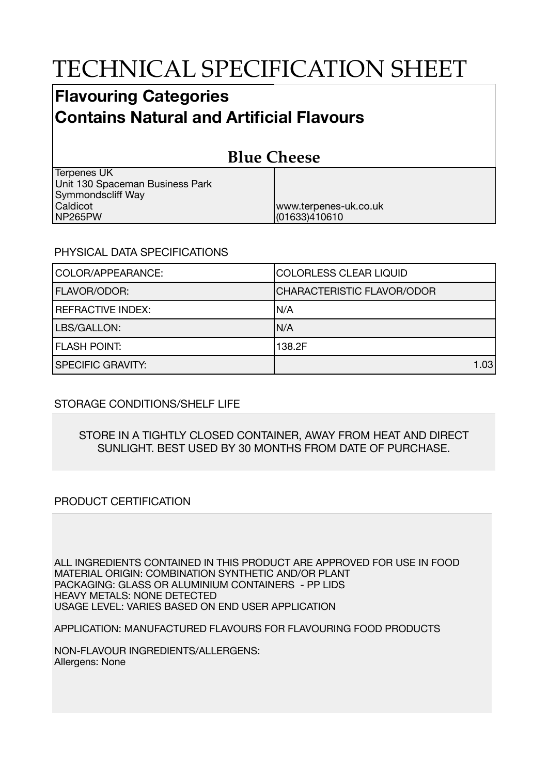# TECHNICAL SPECIFICATION SHEET

## **Flavouring Categories Contains Natural and Artificial Flavours**

#### **Blue Cheese** Terpenes UK Unit 130 Spaceman Business Park Symmondscliff Way Caldicot NP265PW www.terpenes-uk.co.uk (01633)410610

### PHYSICAL DATA SPECIFICATIONS

| COLOR/APPEARANCE:        | <b>COLORLESS CLEAR LIQUID</b>     |  |
|--------------------------|-----------------------------------|--|
| <b>FLAVOR/ODOR:</b>      | <b>CHARACTERISTIC FLAVOR/ODOR</b> |  |
| <b>REFRACTIVE INDEX:</b> | IN/A                              |  |
| LBS/GALLON:              | IN/A                              |  |
| <b>FLASH POINT:</b>      | 138.2F                            |  |
| <b>SPECIFIC GRAVITY:</b> | 1.03                              |  |

### STORAGE CONDITIONS/SHELF LIFE

#### STORE IN A TIGHTLY CLOSED CONTAINER, AWAY FROM HEAT AND DIRECT SUNLIGHT. BEST USED BY 30 MONTHS FROM DATE OF PURCHASE.

### PRODUCT CERTIFICATION

ALL INGREDIENTS CONTAINED IN THIS PRODUCT ARE APPROVED FOR USE IN FOOD MATERIAL ORIGIN: COMBINATION SYNTHETIC AND/OR PLANT PACKAGING: GLASS OR ALUMINIUM CONTAINERS - PP LIDS HEAVY METALS: NONE DETECTED USAGE LEVEL: VARIES BASED ON END USER APPLICATION

APPLICATION: MANUFACTURED FLAVOURS FOR FLAVOURING FOOD PRODUCTS

NON-FLAVOUR INGREDIENTS/ALLERGENS: Allergens: None